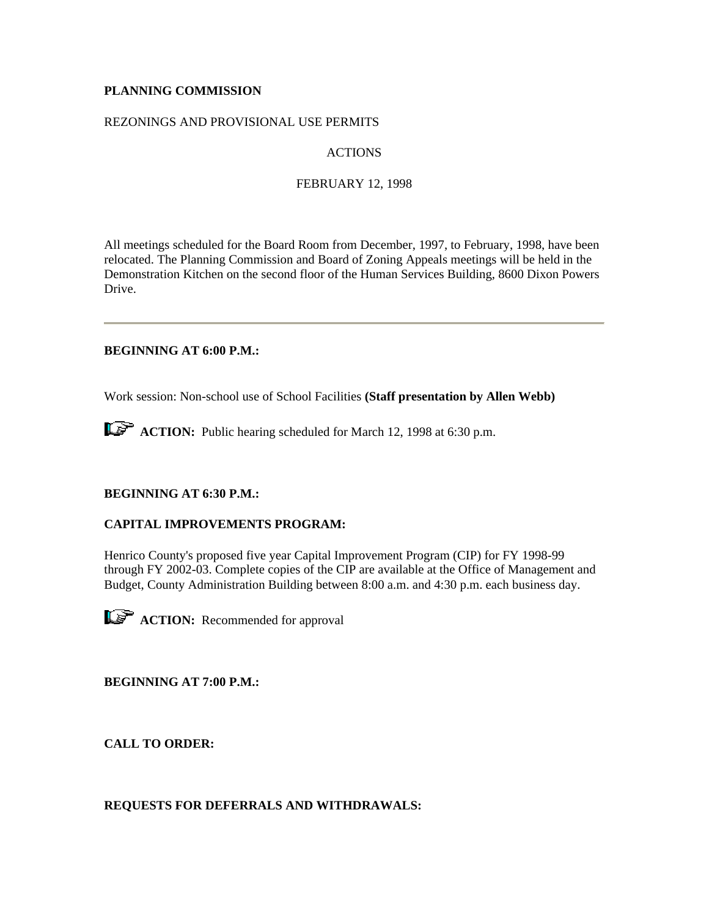# **PLANNING COMMISSION**

# REZONINGS AND PROVISIONAL USE PERMITS

# ACTIONS

### FEBRUARY 12, 1998

All meetings scheduled for the Board Room from December, 1997, to February, 1998, have been relocated. The Planning Commission and Board of Zoning Appeals meetings will be held in the Demonstration Kitchen on the second floor of the Human Services Building, 8600 Dixon Powers Drive.

# **BEGINNING AT 6:00 P.M.:**

Work session: Non-school use of School Facilities **(Staff presentation by Allen Webb)**

**ACTION:** Public hearing scheduled for March 12, 1998 at 6:30 p.m.

# **BEGINNING AT 6:30 P.M.:**

# **CAPITAL IMPROVEMENTS PROGRAM:**

Henrico County's proposed five year Capital Improvement Program (CIP) for FY 1998-99 through FY 2002-03. Complete copies of the CIP are available at the Office of Management and Budget, County Administration Building between 8:00 a.m. and 4:30 p.m. each business day.

**ACTION:** Recommended for approval

**BEGINNING AT 7:00 P.M.:**

**CALL TO ORDER:**

# **REQUESTS FOR DEFERRALS AND WITHDRAWALS:**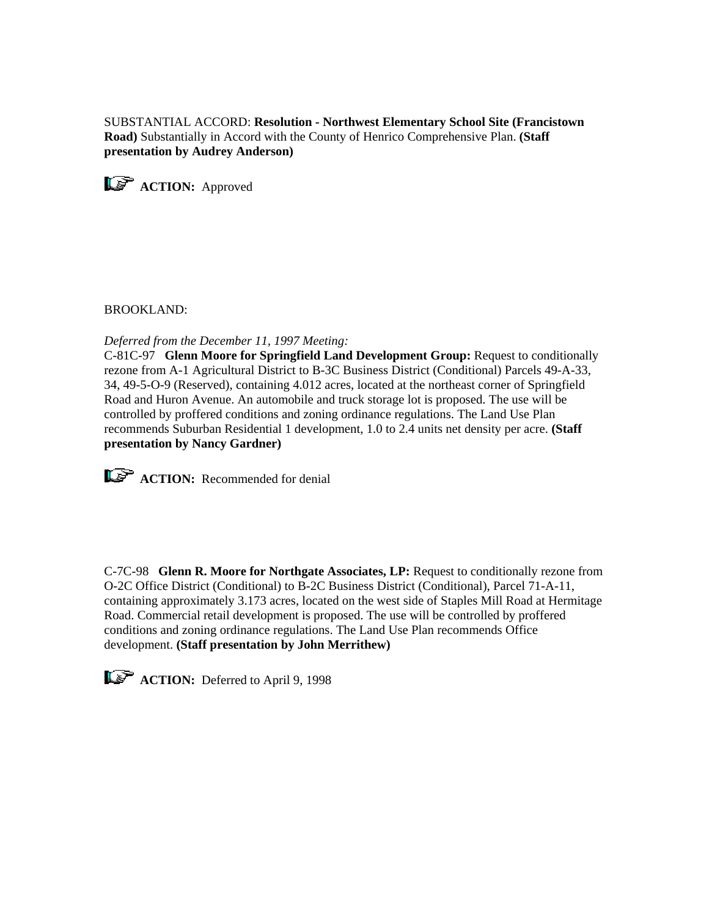SUBSTANTIAL ACCORD: **Resolution - Northwest Elementary School Site (Francistown Road)** Substantially in Accord with the County of Henrico Comprehensive Plan. **(Staff presentation by Audrey Anderson)**

**ACTION:** Approved

BROOKLAND:

*Deferred from the December 11, 1997 Meeting:* 

C-81C-97 **Glenn Moore for Springfield Land Development Group:** Request to conditionally rezone from A-1 Agricultural District to B-3C Business District (Conditional) Parcels 49-A-33, 34, 49-5-O-9 (Reserved), containing 4.012 acres, located at the northeast corner of Springfield Road and Huron Avenue. An automobile and truck storage lot is proposed. The use will be controlled by proffered conditions and zoning ordinance regulations. The Land Use Plan recommends Suburban Residential 1 development, 1.0 to 2.4 units net density per acre. **(Staff presentation by Nancy Gardner)**

**ACTION:** Recommended for denial

C-7C-98 **Glenn R. Moore for Northgate Associates, LP:** Request to conditionally rezone from O-2C Office District (Conditional) to B-2C Business District (Conditional), Parcel 71-A-11, containing approximately 3.173 acres, located on the west side of Staples Mill Road at Hermitage Road. Commercial retail development is proposed. The use will be controlled by proffered conditions and zoning ordinance regulations. The Land Use Plan recommends Office development. **(Staff presentation by John Merrithew)** 

**ACTION:** Deferred to April 9, 1998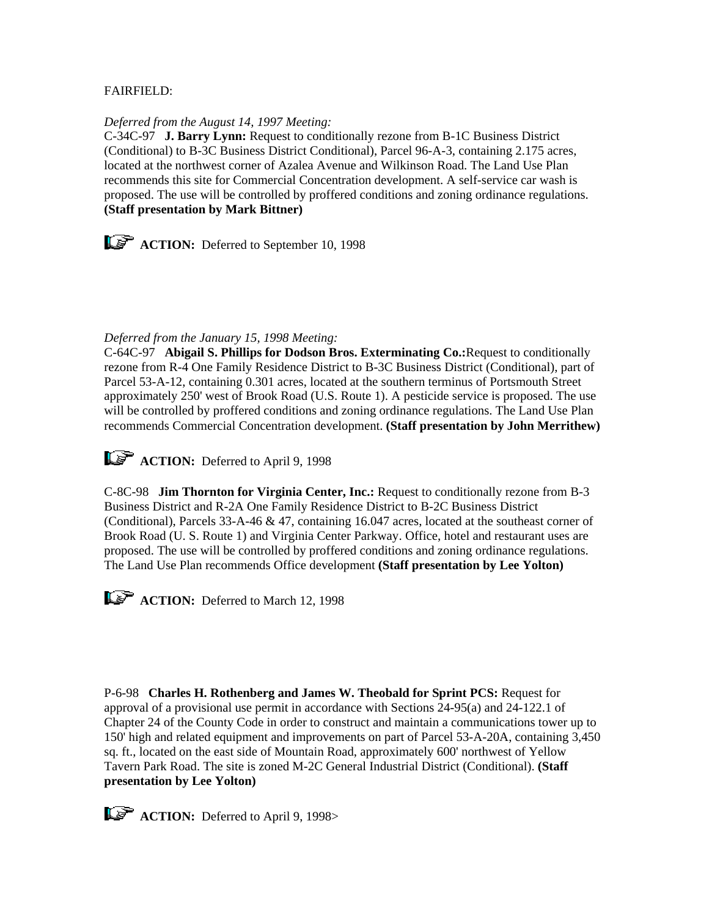# FAIRFIELD:

### *Deferred from the August 14, 1997 Meeting:*

C-34C-97 **J. Barry Lynn:** Request to conditionally rezone from B-1C Business District (Conditional) to B-3C Business District Conditional), Parcel 96-A-3, containing 2.175 acres, located at the northwest corner of Azalea Avenue and Wilkinson Road. The Land Use Plan recommends this site for Commercial Concentration development. A self-service car wash is proposed. The use will be controlled by proffered conditions and zoning ordinance regulations. **(Staff presentation by Mark Bittner)**

**ACTION:** Deferred to September 10, 1998

# *Deferred from the January 15, 1998 Meeting:*

C-64C-97 **Abigail S. Phillips for Dodson Bros. Exterminating Co.:**Request to conditionally rezone from R-4 One Family Residence District to B-3C Business District (Conditional), part of Parcel 53-A-12, containing 0.301 acres, located at the southern terminus of Portsmouth Street approximately 250' west of Brook Road (U.S. Route 1). A pesticide service is proposed. The use will be controlled by proffered conditions and zoning ordinance regulations. The Land Use Plan recommends Commercial Concentration development. **(Staff presentation by John Merrithew)**

**ACTION:** Deferred to April 9, 1998

C-8C-98 **Jim Thornton for Virginia Center, Inc.:** Request to conditionally rezone from B-3 Business District and R-2A One Family Residence District to B-2C Business District (Conditional), Parcels 33-A-46 & 47, containing 16.047 acres, located at the southeast corner of Brook Road (U. S. Route 1) and Virginia Center Parkway. Office, hotel and restaurant uses are proposed. The use will be controlled by proffered conditions and zoning ordinance regulations. The Land Use Plan recommends Office development **(Staff presentation by Lee Yolton)**

**ACTION:** Deferred to March 12, 1998

P-6-98 **Charles H. Rothenberg and James W. Theobald for Sprint PCS:** Request for approval of a provisional use permit in accordance with Sections 24-95(a) and 24-122.1 of Chapter 24 of the County Code in order to construct and maintain a communications tower up to 150' high and related equipment and improvements on part of Parcel 53-A-20A, containing 3,450 sq. ft., located on the east side of Mountain Road, approximately 600' northwest of Yellow Tavern Park Road. The site is zoned M-2C General Industrial District (Conditional). **(Staff presentation by Lee Yolton)** 

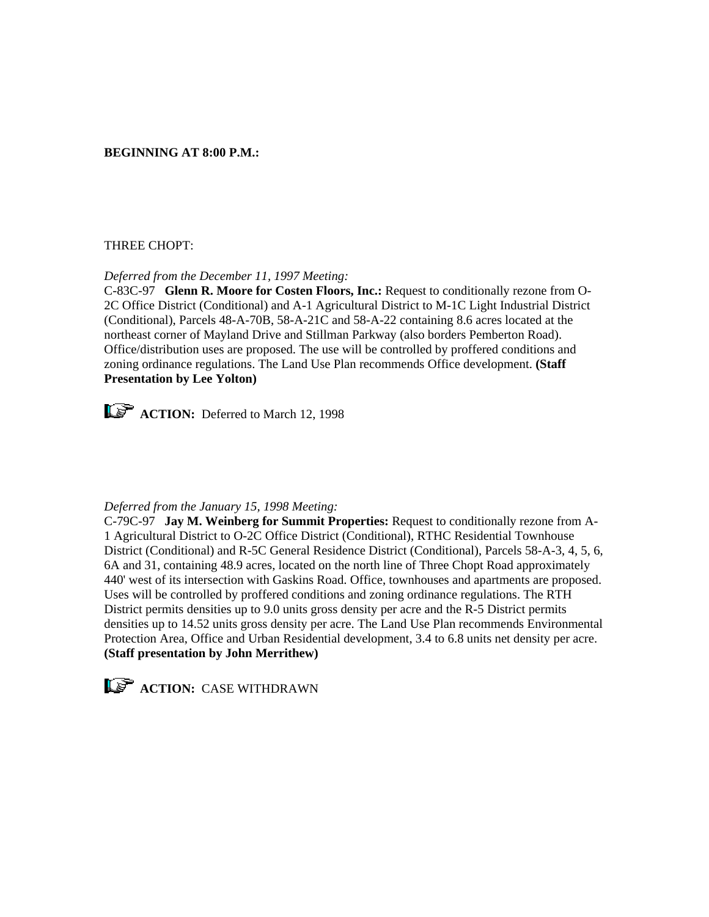# **BEGINNING AT 8:00 P.M.:**

# THREE CHOPT:

#### *Deferred from the December 11, 1997 Meeting:*

C-83C-97 **Glenn R. Moore for Costen Floors, Inc.:** Request to conditionally rezone from O-2C Office District (Conditional) and A-1 Agricultural District to M-1C Light Industrial District (Conditional), Parcels 48-A-70B, 58-A-21C and 58-A-22 containing 8.6 acres located at the northeast corner of Mayland Drive and Stillman Parkway (also borders Pemberton Road). Office/distribution uses are proposed. The use will be controlled by proffered conditions and zoning ordinance regulations. The Land Use Plan recommends Office development. **(Staff Presentation by Lee Yolton)**



**ACTION:** Deferred to March 12, 1998

#### *Deferred from the January 15, 1998 Meeting:*

C-79C-97 **Jay M. Weinberg for Summit Properties:** Request to conditionally rezone from A-1 Agricultural District to O-2C Office District (Conditional), RTHC Residential Townhouse District (Conditional) and R-5C General Residence District (Conditional), Parcels 58-A-3, 4, 5, 6, 6A and 31, containing 48.9 acres, located on the north line of Three Chopt Road approximately 440' west of its intersection with Gaskins Road. Office, townhouses and apartments are proposed. Uses will be controlled by proffered conditions and zoning ordinance regulations. The RTH District permits densities up to 9.0 units gross density per acre and the R-5 District permits densities up to 14.52 units gross density per acre. The Land Use Plan recommends Environmental Protection Area, Office and Urban Residential development, 3.4 to 6.8 units net density per acre. **(Staff presentation by John Merrithew)** 



**ACTION: CASE WITHDRAWN**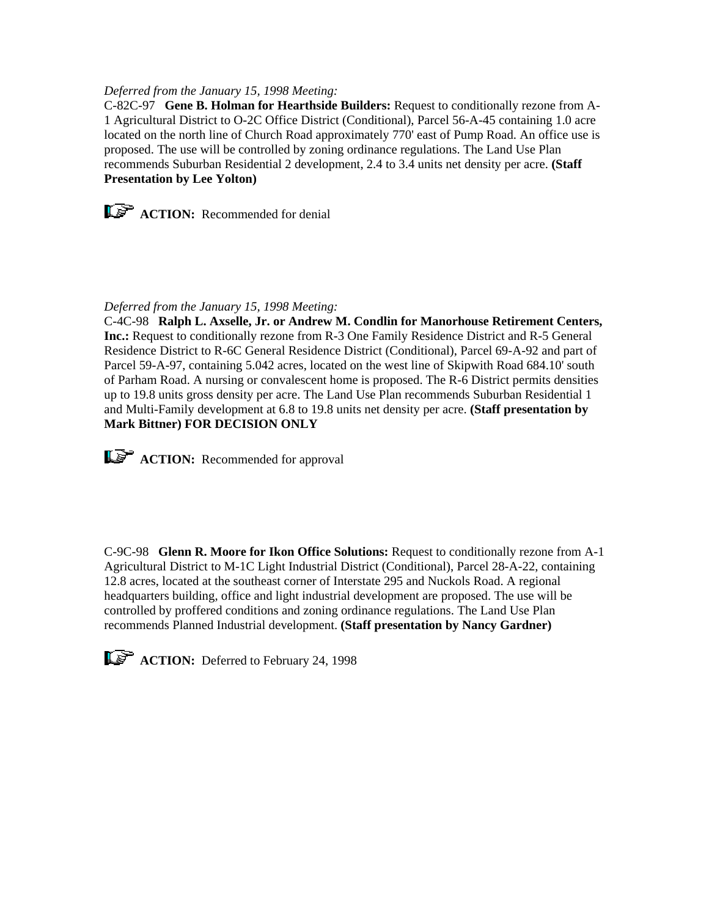# *Deferred from the January 15, 1998 Meeting:*

C-82C-97 **Gene B. Holman for Hearthside Builders:** Request to conditionally rezone from A-1 Agricultural District to O-2C Office District (Conditional), Parcel 56-A-45 containing 1.0 acre located on the north line of Church Road approximately 770' east of Pump Road. An office use is proposed. The use will be controlled by zoning ordinance regulations. The Land Use Plan recommends Suburban Residential 2 development, 2.4 to 3.4 units net density per acre. **(Staff Presentation by Lee Yolton)**



#### *Deferred from the January 15, 1998 Meeting:*

C-4C-98 **Ralph L. Axselle, Jr. or Andrew M. Condlin for Manorhouse Retirement Centers, Inc.:** Request to conditionally rezone from R-3 One Family Residence District and R-5 General Residence District to R-6C General Residence District (Conditional), Parcel 69-A-92 and part of Parcel 59-A-97, containing 5.042 acres, located on the west line of Skipwith Road 684.10' south of Parham Road. A nursing or convalescent home is proposed. The R-6 District permits densities up to 19.8 units gross density per acre. The Land Use Plan recommends Suburban Residential 1 and Multi-Family development at 6.8 to 19.8 units net density per acre. **(Staff presentation by Mark Bittner) FOR DECISION ONLY**

**ACTION:** Recommended for approval

C-9C-98 **Glenn R. Moore for Ikon Office Solutions:** Request to conditionally rezone from A-1 Agricultural District to M-1C Light Industrial District (Conditional), Parcel 28-A-22, containing 12.8 acres, located at the southeast corner of Interstate 295 and Nuckols Road. A regional headquarters building, office and light industrial development are proposed. The use will be controlled by proffered conditions and zoning ordinance regulations. The Land Use Plan recommends Planned Industrial development. **(Staff presentation by Nancy Gardner)**

**ACTION:** Deferred to February 24, 1998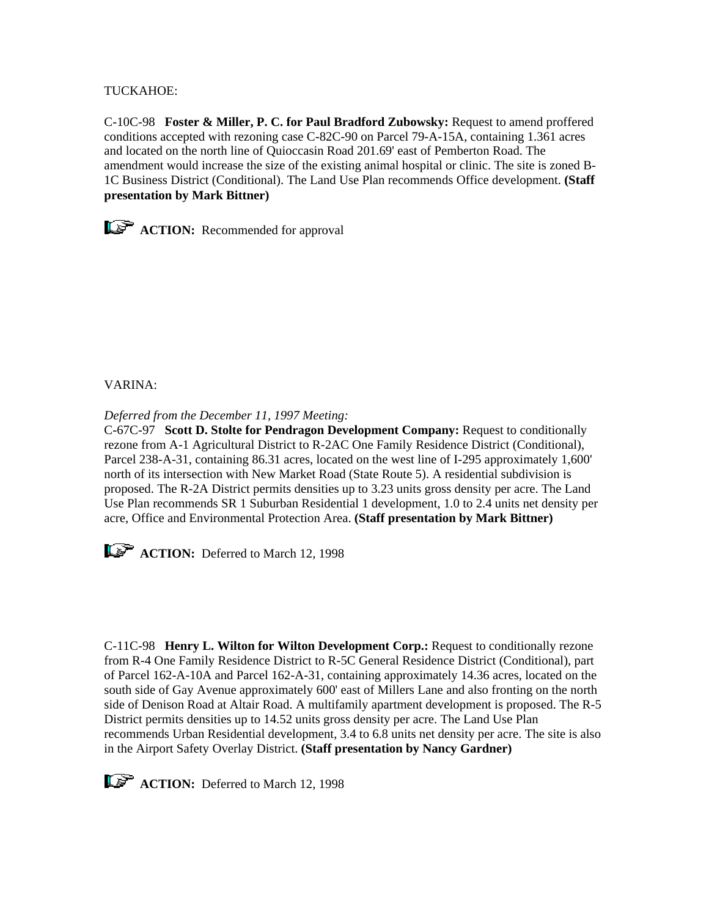TUCKAHOE:

C-10C-98 **Foster & Miller, P. C. for Paul Bradford Zubowsky:** Request to amend proffered conditions accepted with rezoning case C-82C-90 on Parcel 79-A-15A, containing 1.361 acres and located on the north line of Quioccasin Road 201.69' east of Pemberton Road. The amendment would increase the size of the existing animal hospital or clinic. The site is zoned B-1C Business District (Conditional). The Land Use Plan recommends Office development. **(Staff presentation by Mark Bittner)**



**ACTION:** Recommended for approval

VARINA:

*Deferred from the December 11, 1997 Meeting:*

C-67C-97 **Scott D. Stolte for Pendragon Development Company:** Request to conditionally rezone from A-1 Agricultural District to R-2AC One Family Residence District (Conditional), Parcel 238-A-31, containing 86.31 acres, located on the west line of I-295 approximately 1,600' north of its intersection with New Market Road (State Route 5). A residential subdivision is proposed. The R-2A District permits densities up to 3.23 units gross density per acre. The Land Use Plan recommends SR 1 Suburban Residential 1 development, 1.0 to 2.4 units net density per acre, Office and Environmental Protection Area. **(Staff presentation by Mark Bittner)**

**ACTION:** Deferred to March 12, 1998

C-11C-98 **Henry L. Wilton for Wilton Development Corp.:** Request to conditionally rezone from R-4 One Family Residence District to R-5C General Residence District (Conditional), part of Parcel 162-A-10A and Parcel 162-A-31, containing approximately 14.36 acres, located on the south side of Gay Avenue approximately 600' east of Millers Lane and also fronting on the north side of Denison Road at Altair Road. A multifamily apartment development is proposed. The R-5 District permits densities up to 14.52 units gross density per acre. The Land Use Plan recommends Urban Residential development, 3.4 to 6.8 units net density per acre. The site is also in the Airport Safety Overlay District. **(Staff presentation by Nancy Gardner)**



**ACTION:** Deferred to March 12, 1998